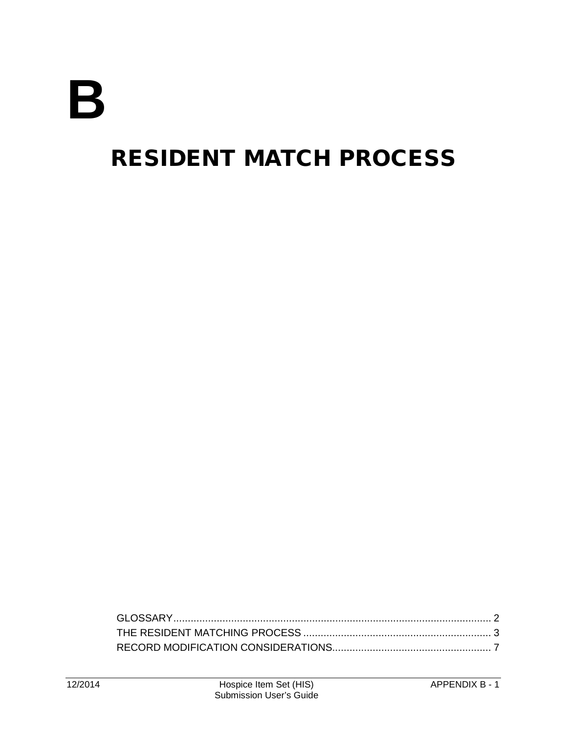# **B**

# RESIDENT MATCH PROCESS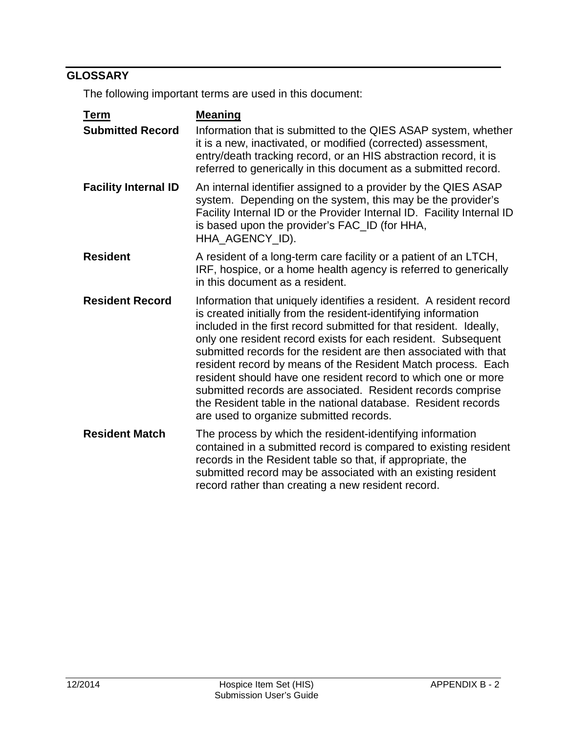## <span id="page-1-0"></span>**GLOSSARY**

The following important terms are used in this document:

| <b>Term</b>                 | <b>Meaning</b>                                                                                                                                                                                                                                                                                                                                                                                                                                                                                                                                                                                                                                              |
|-----------------------------|-------------------------------------------------------------------------------------------------------------------------------------------------------------------------------------------------------------------------------------------------------------------------------------------------------------------------------------------------------------------------------------------------------------------------------------------------------------------------------------------------------------------------------------------------------------------------------------------------------------------------------------------------------------|
| <b>Submitted Record</b>     | Information that is submitted to the QIES ASAP system, whether<br>it is a new, inactivated, or modified (corrected) assessment,<br>entry/death tracking record, or an HIS abstraction record, it is<br>referred to generically in this document as a submitted record.                                                                                                                                                                                                                                                                                                                                                                                      |
| <b>Facility Internal ID</b> | An internal identifier assigned to a provider by the QIES ASAP<br>system. Depending on the system, this may be the provider's<br>Facility Internal ID or the Provider Internal ID. Facility Internal ID<br>is based upon the provider's FAC_ID (for HHA,<br>HHA_AGENCY_ID).                                                                                                                                                                                                                                                                                                                                                                                 |
| <b>Resident</b>             | A resident of a long-term care facility or a patient of an LTCH,<br>IRF, hospice, or a home health agency is referred to generically<br>in this document as a resident.                                                                                                                                                                                                                                                                                                                                                                                                                                                                                     |
| <b>Resident Record</b>      | Information that uniquely identifies a resident. A resident record<br>is created initially from the resident-identifying information<br>included in the first record submitted for that resident. Ideally,<br>only one resident record exists for each resident. Subsequent<br>submitted records for the resident are then associated with that<br>resident record by means of the Resident Match process. Each<br>resident should have one resident record to which one or more<br>submitted records are associated. Resident records comprise<br>the Resident table in the national database. Resident records<br>are used to organize submitted records. |
| <b>Resident Match</b>       | The process by which the resident-identifying information<br>contained in a submitted record is compared to existing resident<br>records in the Resident table so that, if appropriate, the<br>submitted record may be associated with an existing resident<br>record rather than creating a new resident record.                                                                                                                                                                                                                                                                                                                                           |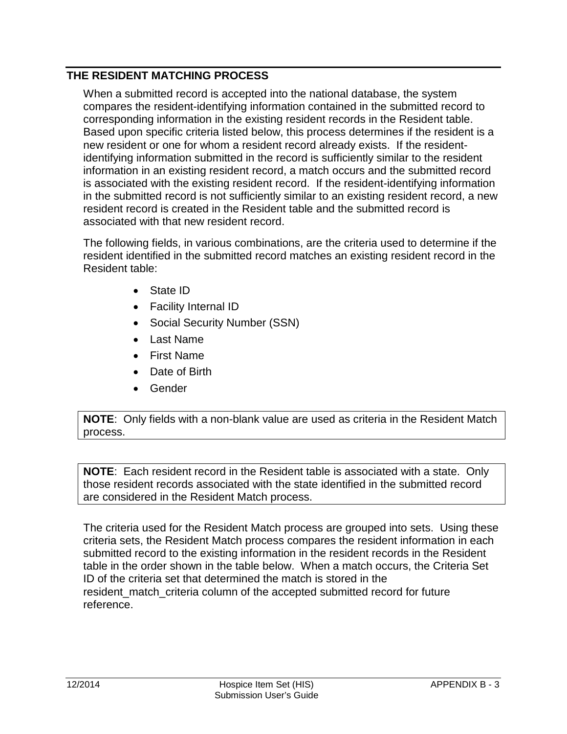#### <span id="page-2-0"></span>**THE RESIDENT MATCHING PROCESS**

When a submitted record is accepted into the national database, the system compares the resident-identifying information contained in the submitted record to corresponding information in the existing resident records in the Resident table. Based upon specific criteria listed below, this process determines if the resident is a new resident or one for whom a resident record already exists. If the residentidentifying information submitted in the record is sufficiently similar to the resident information in an existing resident record, a match occurs and the submitted record is associated with the existing resident record. If the resident-identifying information in the submitted record is not sufficiently similar to an existing resident record, a new resident record is created in the Resident table and the submitted record is associated with that new resident record.

The following fields, in various combinations, are the criteria used to determine if the resident identified in the submitted record matches an existing resident record in the Resident table:

- State ID
- Facility Internal ID
- Social Security Number (SSN)
- Last Name
- First Name
- Date of Birth
- Gender

**NOTE**: Only fields with a non-blank value are used as criteria in the Resident Match process.

**NOTE**: Each resident record in the Resident table is associated with a state. Only those resident records associated with the state identified in the submitted record are considered in the Resident Match process.

The criteria used for the Resident Match process are grouped into sets. Using these criteria sets, the Resident Match process compares the resident information in each submitted record to the existing information in the resident records in the Resident table in the order shown in the table below. When a match occurs, the Criteria Set ID of the criteria set that determined the match is stored in the resident match criteria column of the accepted submitted record for future reference.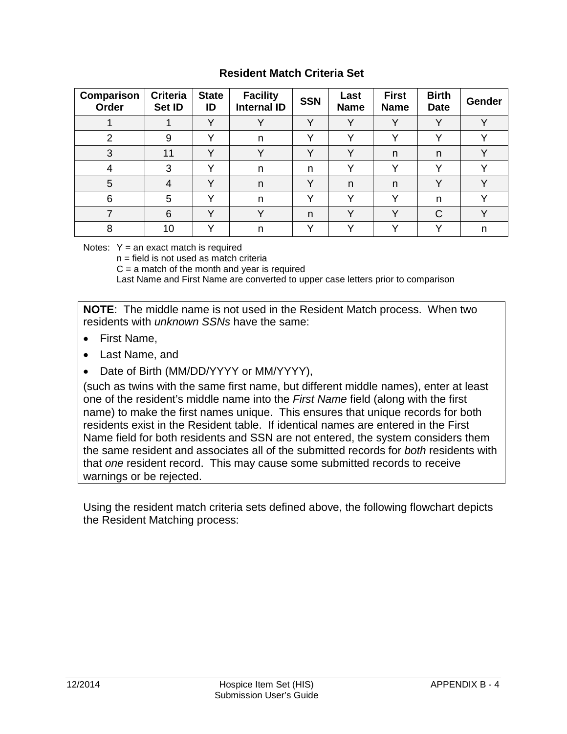#### **Resident Match Criteria Set**

| Comparison<br>Order | <b>Criteria</b><br>Set ID | <b>State</b><br>ID | <b>Facility</b><br><b>Internal ID</b> | <b>SSN</b>   | Last<br><b>Name</b> | <b>First</b><br><b>Name</b> | <b>Birth</b><br><b>Date</b> | <b>Gender</b> |
|---------------------|---------------------------|--------------------|---------------------------------------|--------------|---------------------|-----------------------------|-----------------------------|---------------|
|                     |                           | $\checkmark$       |                                       | $\checkmark$ | $\checkmark$        |                             |                             | $\mathbf{v}$  |
| 2                   | 9                         | v                  | n                                     | $\checkmark$ | v                   | $\checkmark$                | $\checkmark$                | $\mathbf{v}$  |
| 3                   | 11                        | $\checkmark$       | v                                     | $\checkmark$ | $\checkmark$        | n                           | n                           |               |
| 4                   | 3                         | v                  | n                                     | n            | v                   |                             |                             |               |
| 5                   | 4                         | $\checkmark$       | n                                     | $\checkmark$ | n.                  | n                           | $\lambda$                   | $\sqrt{}$     |
| 6                   | 5                         | $\checkmark$       | n                                     | $\checkmark$ | $\checkmark$        | $\mathbf{v}$                | n                           |               |
|                     | 6                         | $\checkmark$       |                                       | n            | v                   | v                           | C                           |               |
| 8                   | 10                        |                    | n                                     |              |                     |                             |                             | n             |

Notes:  $Y = an exact match is required$ 

n = field is not used as match criteria

 $C = a$  match of the month and year is required

Last Name and First Name are converted to upper case letters prior to comparison

**NOTE**: The middle name is not used in the Resident Match process. When two residents with *unknown SSNs* have the same:

- First Name,
- Last Name, and
- Date of Birth (MM/DD/YYYY or MM/YYYY),

(such as twins with the same first name, but different middle names), enter at least one of the resident's middle name into the *First Name* field (along with the first name) to make the first names unique. This ensures that unique records for both residents exist in the Resident table. If identical names are entered in the First Name field for both residents and SSN are not entered, the system considers them the same resident and associates all of the submitted records for *both* residents with that *one* resident record. This may cause some submitted records to receive warnings or be rejected.

Using the resident match criteria sets defined above, the following flowchart depicts the Resident Matching process: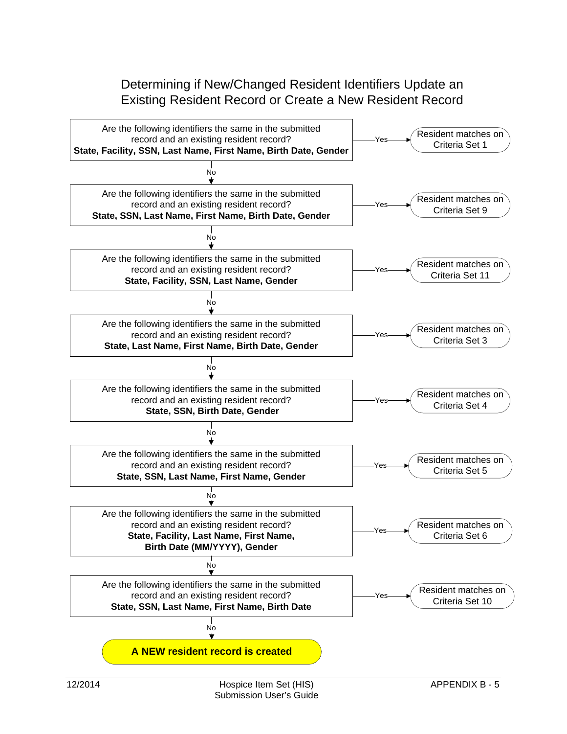### Determining if New/Changed Resident Identifiers Update an Existing Resident Record or Create a New Resident Record

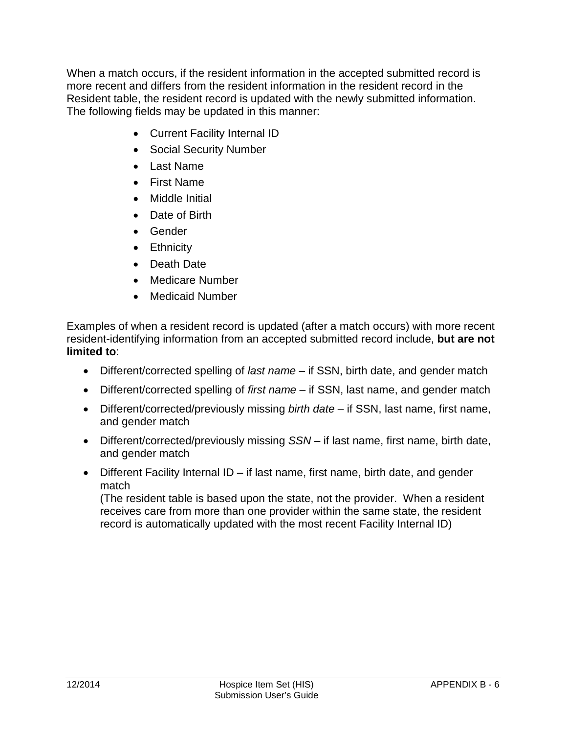When a match occurs, if the resident information in the accepted submitted record is more recent and differs from the resident information in the resident record in the Resident table, the resident record is updated with the newly submitted information. The following fields may be updated in this manner:

- Current Facility Internal ID
- Social Security Number
- Last Name
- First Name
- Middle Initial
- Date of Birth
- Gender
- Ethnicity
- Death Date
- Medicare Number
- Medicaid Number

Examples of when a resident record is updated (after a match occurs) with more recent resident-identifying information from an accepted submitted record include, **but are not limited to**:

- Different/corrected spelling of *last name* if SSN, birth date, and gender match
- Different/corrected spelling of *first name* if SSN, last name, and gender match
- Different/corrected/previously missing *birth date* if SSN, last name, first name, and gender match
- Different/corrected/previously missing *SSN* if last name, first name, birth date, and gender match
- Different Facility Internal ID if last name, first name, birth date, and gender match

(The resident table is based upon the state, not the provider. When a resident receives care from more than one provider within the same state, the resident record is automatically updated with the most recent Facility Internal ID)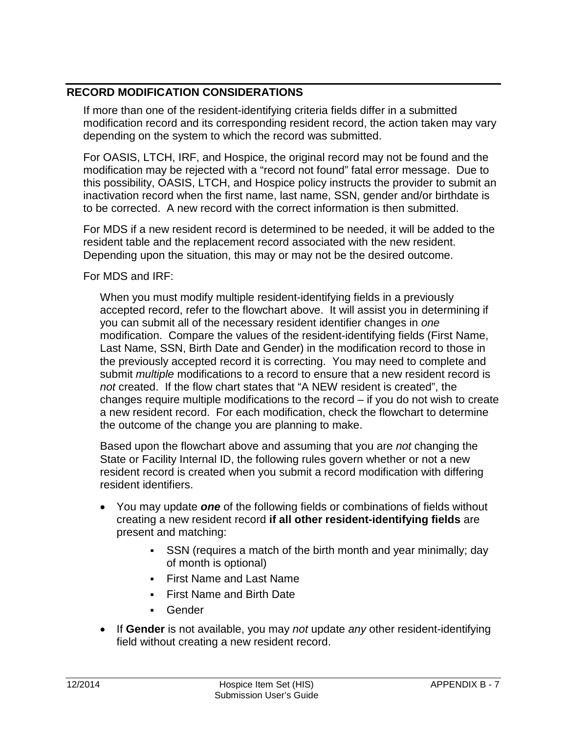#### <span id="page-6-0"></span>**RECORD MODIFICATION CONSIDERATIONS**

If more than one of the resident-identifying criteria fields differ in a submitted modification record and its corresponding resident record, the action taken may vary depending on the system to which the record was submitted.

For OASIS, LTCH, IRF, and Hospice, the original record may not be found and the modification may be rejected with a "record not found" fatal error message. Due to this possibility, OASIS, LTCH, and Hospice policy instructs the provider to submit an inactivation record when the first name, last name, SSN, gender and/or birthdate is to be corrected. A new record with the correct information is then submitted.

For MDS if a new resident record is determined to be needed, it will be added to the resident table and the replacement record associated with the new resident. Depending upon the situation, this may or may not be the desired outcome.

For MDS and IRF:

When you must modify multiple resident-identifying fields in a previously accepted record, refer to the flowchart above. It will assist you in determining if you can submit all of the necessary resident identifier changes in *one* modification. Compare the values of the resident-identifying fields (First Name, Last Name, SSN, Birth Date and Gender) in the modification record to those in the previously accepted record it is correcting. You may need to complete and submit *multiple* modifications to a record to ensure that a new resident record is *not* created. If the flow chart states that "A NEW resident is created", the changes require multiple modifications to the record – if you do not wish to create a new resident record. For each modification, check the flowchart to determine the outcome of the change you are planning to make.

Based upon the flowchart above and assuming that you are *not* changing the State or Facility Internal ID, the following rules govern whether or not a new resident record is created when you submit a record modification with differing resident identifiers.

- You may update *one* of the following fields or combinations of fields without creating a new resident record **if all other resident-identifying fields** are present and matching:
	- SSN (requires a match of the birth month and year minimally; day of month is optional)
	- First Name and Last Name
	- First Name and Birth Date
	- Gender
- If **Gender** is not available, you may *not* update *any* other resident-identifying field without creating a new resident record.